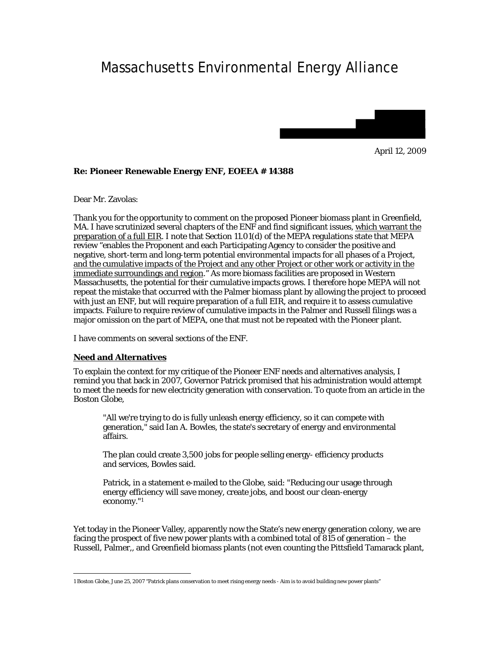# Massachusetts Environmental Energy Alliance



April 12, 2009

# **Re: Pioneer Renewable Energy ENF, EOEEA # 14388**

Dear Mr. Zavolas:

Thank you for the opportunity to comment on the proposed Pioneer biomass plant in Greenfield, MA. I have scrutinized several chapters of the ENF and find significant issues, which warrant the preparation of a full EIR. I note that Section 11.01(d) of the MEPA regulations state that MEPA review "enables the Proponent and each Participating Agency to consider the positive and negative, short-term and long-term potential environmental impacts for all phases of a Project, and the cumulative impacts of the Project and any other Project or other work or activity in the immediate surroundings and region." As more biomass facilities are proposed in Western Massachusetts, the potential for their cumulative impacts grows. I therefore hope MEPA will not repeat the mistake that occurred with the Palmer biomass plant by allowing the project to proceed with just an ENF, but will require preparation of a full EIR, and require it to assess cumulative impacts. Failure to require review of cumulative impacts in the Palmer and Russell filings was a major omission on the part of MEPA, one that must not be repeated with the Pioneer plant.

I have comments on several sections of the ENF.

# **Need and Alternatives**

 $\overline{a}$ 

To explain the context for my critique of the Pioneer ENF needs and alternatives analysis, I remind you that back in 2007, Governor Patrick promised that his administration would attempt to meet the needs for new electricity generation with conservation. To quote from an article in the Boston Globe,

"All we're trying to do is fully unleash energy efficiency, so it can compete with generation," said Ian A. Bowles, the state's secretary of energy and environmental affairs.

The plan could create 3,500 jobs for people selling energy- efficiency products and services, Bowles said.

Patrick, in a statement e-mailed to the Globe, said: "Reducing our usage through energy efficiency will save money, create jobs, and boost our clean-energy economy."1

Yet today in the Pioneer Valley, apparently now the State's new energy generation colony, we are facing the prospect of five new power plants with a combined total of 815 of generation – the Russell, Palmer,, and Greenfield biomass plants (not even counting the Pittsfield Tamarack plant,

<sup>1</sup> Boston Globe, June 25, 2007 "Patrick plans conservation to meet rising energy needs - Aim is to avoid building new power plants"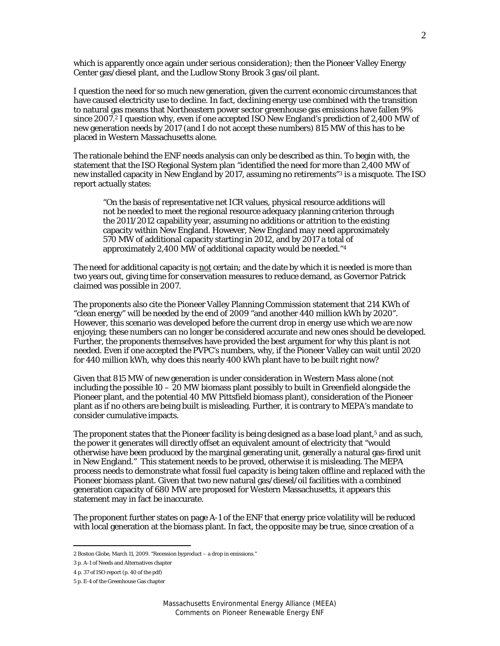which is apparently once again under serious consideration); then the Pioneer Valley Energy Center gas/diesel plant, and the Ludlow Stony Brook 3 gas/oil plant.

I question the need for so much new generation, given the current economic circumstances that have caused electricity use to decline. In fact, declining energy use combined with the transition to natural gas means that Northeastern power sector greenhouse gas emissions have fallen 9% since 2007.2 I question why, even if one accepted ISO New England's prediction of 2,400 MW of new generation needs by 2017 (and I do not accept these numbers) 815 MW of this has to be placed in Western Massachusetts alone.

The rationale behind the ENF needs analysis can only be described as thin. To begin with, the statement that the ISO Regional System plan "identified the need for more than 2,400 MW of new installed capacity in New England by 2017, assuming no retirements"3 is a misquote. The ISO report actually states:

"On the basis of representative net ICR values, physical resource additions will not be needed to meet the regional resource adequacy planning criterion through the 2011/2012 capability year, assuming no additions or attrition to the existing capacity within New England. However, New England *may* need approximately 570 MW of additional capacity starting in 2012, and by 2017 a total of approximately 2,400 MW of additional capacity would be needed."4

The need for additional capacity is not certain; and the date by which it is needed is more than two years out, giving time for conservation measures to reduce demand, as Governor Patrick claimed was possible in 2007.

The proponents also cite the Pioneer Valley Planning Commission statement that 214 KWh of "clean energy" will be needed by the end of 2009 "and another 440 million kWh by 2020". However, this scenario was developed before the current drop in energy use which we are now enjoying; these numbers can no longer be considered accurate and new ones should be developed. Further, the proponents themselves have provided the best argument for why this plant is not needed. Even if one accepted the PVPC's numbers, why, if the Pioneer Valley can wait until 2020 for 440 million kWh, why does this nearly 400 kWh plant have to be built right now?

Given that 815 MW of new generation is under consideration in Western Mass alone (not including the possible  $10 - 20$  MW biomass plant possibly to built in Greenfield alongside the Pioneer plant, and the potential 40 MW Pittsfield biomass plant), consideration of the Pioneer plant as if no others are being built is misleading. Further, it is contrary to MEPA's mandate to consider cumulative impacts.

The proponent states that the Pioneer facility is being designed as a base load plant,<sup>5</sup> and as such, the power it generates will directly offset an equivalent amount of electricity that "would otherwise have been produced by the marginal generating unit, generally a natural gas-fired unit in New England." This statement needs to be proved, otherwise it is misleading. The MEPA process needs to demonstrate what fossil fuel capacity is being taken offline and replaced with the Pioneer biomass plant. Given that two new natural gas/diesel/oil facilities with a combined generation capacity of 680 MW are proposed for Western Massachusetts, it appears this statement may in fact be inaccurate.

The proponent further states on page A-1 of the ENF that energy price volatility will be reduced with local generation at the biomass plant. In fact, the opposite may be true, since creation of a

<sup>2</sup> Boston Globe, March 11, 2009. "Recession byproduct – a drop in emissions."

<sup>3</sup> p. A-1 of Needs and Alternatives chapter

<sup>4</sup> p. 37 of ISO report (p. 40 of the pdf)

<sup>5</sup> p. E-4 of the Greenhouse Gas chapter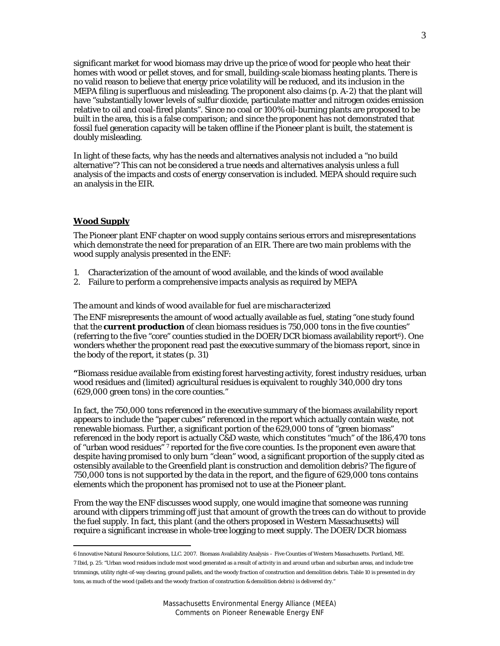significant market for wood biomass may drive up the price of wood for people who heat their homes with wood or pellet stoves, and for small, building-scale biomass heating plants. There is no valid reason to believe that energy price volatility will be reduced, and its inclusion in the MEPA filing is superfluous and misleading. The proponent also claims (p. A-2) that the plant will have "substantially lower levels of sulfur dioxide, particulate matter and nitrogen oxides emission relative to oil and coal-fired plants". Since no coal or 100% oil-burning plants are proposed to be built in the area, this is a false comparison; and since the proponent has not demonstrated that fossil fuel generation capacity will be taken offline if the Pioneer plant is built, the statement is doubly misleading.

In light of these facts, why has the needs and alternatives analysis not included a "no build alternative"? This can not be considered a true needs and alternatives analysis unless a full analysis of the impacts and costs of energy conservation is included. MEPA should require such an analysis in the EIR.

# **Wood Supply**

 $\overline{a}$ 

The Pioneer plant ENF chapter on wood supply contains serious errors and misrepresentations which demonstrate the need for preparation of an EIR. There are two main problems with the wood supply analysis presented in the ENF:

- 1. Characterization of the amount of wood available, and the kinds of wood available
- 2. Failure to perform a comprehensive impacts analysis as required by MEPA

## *The amount and kinds of wood available for fuel are mischaracterized*

The ENF misrepresents the amount of wood actually available as fuel, stating "one study found that the **current production** of clean biomass residues is 750,000 tons in the five counties" (referring to the five "core" counties studied in the DOER/DCR biomass availability report6). One wonders whether the proponent read past the executive summary of the biomass report, since in the body of the report, it states (p. 31)

**"**Biomass residue available from existing forest harvesting activity, forest industry residues, urban wood residues and (limited) agricultural residues is equivalent to roughly 340,000 dry tons (629,000 green tons) in the core counties."

In fact, the 750,000 tons referenced in the executive summary of the biomass availability report appears to include the "paper cubes" referenced in the report which actually contain waste, not renewable biomass. Further, a significant portion of the 629,000 tons of "green biomass" referenced in the body report is actually C&D waste, which constitutes "much" of the 186,470 tons of "urban wood residues"<sup>7</sup> reported for the five core counties. Is the proponent even aware that despite having promised to only burn "clean" wood, a significant proportion of the supply cited as ostensibly available to the Greenfield plant is construction and demolition debris? The figure of 750,000 tons is not supported by the data in the report, and the figure of 629,000 tons contains elements which the proponent has promised not to use at the Pioneer plant.

From the way the ENF discusses wood supply, one would imagine that someone was running around with clippers trimming off *just that amount of growth the trees can do without* to provide the fuel supply. In fact, this plant (and the others proposed in Western Massachusetts) will require a significant increase in whole-tree logging to meet supply. The DOER/DCR biomass

<sup>6</sup> Innovative Natural Resource Solutions, LLC. 2007. Biomass Availability Analysis – Five Counties of Western Massachusetts. Portland, ME. 7 Ibid, p. 25: "Urban wood residues include most wood generated as a result of activity in and around urban and suburban areas, and include tree trimmings, utility right-of-way clearing, ground pallets, and the woody fraction of construction and demolition debris. Table 10 is presented in dry tons, as much of the wood (pallets and the woody fraction of construction & demolition debris) is delivered dry."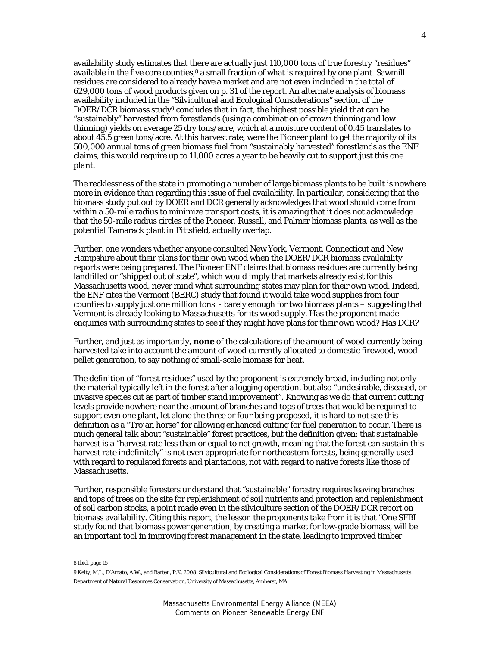availability study estimates that there are actually just 110,000 tons of true forestry "residues" available in the five core counties,<sup>8</sup> a small fraction of what is required by one plant. Sawmill residues are considered to already have a market and are not even included in the total of 629,000 tons of wood products given on p. 31 of the report. An alternate analysis of biomass availability included in the "Silvicultural and Ecological Considerations" section of the DOER/DCR biomass study<sup>9</sup> concludes that in fact, the highest possible yield that can be "sustainably" harvested from forestlands (using a combination of crown thinning and low thinning) yields on average 25 dry tons/acre, which at a moisture content of 0.45 translates to about 45.5 green tons/acre. At this harvest rate, were the Pioneer plant to get the majority of its 500,000 annual tons of green biomass fuel from "sustainably harvested" forestlands as the ENF claims, this would require up to 11,000 acres a year to be heavily cut to support *just this one plant*.

The recklessness of the state in promoting a number of large biomass plants to be built is nowhere more in evidence than regarding this issue of fuel availability. In particular, considering that the biomass study put out by DOER and DCR generally acknowledges that wood should come from within a 50-mile radius to minimize transport costs, it is amazing that it does not acknowledge that the 50-mile radius circles of the Pioneer, Russell, and Palmer biomass plants, as well as the potential Tamarack plant in Pittsfield, actually overlap.

Further, one wonders whether anyone consulted New York, Vermont, Connecticut and New Hampshire about their plans for their own wood when the DOER/DCR biomass availability reports were being prepared. The Pioneer ENF claims that biomass residues are currently being landfilled or "shipped out of state", which would imply that markets already exist for this Massachusetts wood, never mind what surrounding states may plan for their own wood. Indeed, the ENF cites the Vermont (BERC) study that found it would take wood supplies from four counties to supply just one million tons - barely enough for two biomass plants – suggesting that Vermont is already looking to Massachusetts for its wood supply. Has the proponent made enquiries with surrounding states to see if they might have plans for their own wood? Has DCR?

Further, and just as importantly, **none** of the calculations of the amount of wood currently being harvested take into account the amount of wood currently allocated to domestic firewood, wood pellet generation, to say nothing of small-scale biomass for heat.

The definition of "forest residues" used by the proponent is extremely broad, including not only the material typically left in the forest after a logging operation, but also "undesirable, diseased, or invasive species cut as part of timber stand improvement". Knowing as we do that current cutting levels provide nowhere near the amount of branches and tops of trees that would be required to support even one plant, let alone the three or four being proposed, it is hard to not see this definition as a "Trojan horse" for allowing enhanced cutting for fuel generation to occur. There is much general talk about "sustainable" forest practices, but the definition given: that sustainable harvest is a "harvest rate less than or equal to net growth, meaning that the forest can sustain this harvest rate indefinitely" is not even appropriate for northeastern forests, being generally used with regard to regulated forests and plantations, not with regard to native forests like those of Massachusetts.

Further, responsible foresters understand that "sustainable" forestry requires leaving branches and tops of trees on the site for replenishment of soil nutrients and protection and replenishment of soil carbon stocks, a point made even in the silviculture section of the DOER/DCR report on biomass availability. Citing this report, the lesson the proponents take from it is that "One SFBI study found that biomass power generation, by creating a market for low-grade biomass, will be an important tool in improving forest management in the state, leading to improved timber

<sup>8</sup> Ibid, page 15

<sup>9</sup> Kelty, M.J., D'Amato, A.W., and Barten, P.K. 2008. Silvicultural and Ecological Considerations of Forest Biomass Harvesting in Massachusetts. Department of Natural Resources Conservation, University of Massachusetts, Amherst, MA.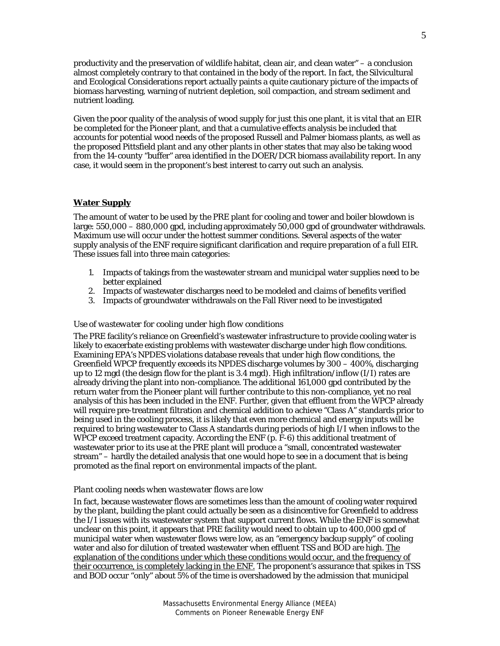productivity and the preservation of wildlife habitat, clean air, and clean water" – a conclusion almost completely contrary to that contained in the body of the report. In fact, the Silvicultural and Ecological Considerations report actually paints a quite cautionary picture of the impacts of biomass harvesting, warning of nutrient depletion, soil compaction, and stream sediment and nutrient loading.

Given the poor quality of the analysis of wood supply for just this one plant, it is vital that an EIR be completed for the Pioneer plant, and that a cumulative effects analysis be included that accounts for potential wood needs of the proposed Russell and Palmer biomass plants, as well as the proposed Pittsfield plant and any other plants in other states that may also be taking wood from the 14-county "buffer" area identified in the DOER/DCR biomass availability report. In any case, it would seem in the proponent's best interest to carry out such an analysis.

# **Water Supply**

The amount of water to be used by the PRE plant for cooling and tower and boiler blowdown is large: 550,000 – 880,000 gpd, including approximately 50,000 gpd of groundwater withdrawals. Maximum use will occur under the hottest summer conditions. Several aspects of the water supply analysis of the ENF require significant clarification and require preparation of a full EIR. These issues fall into three main categories:

- 1. Impacts of takings from the wastewater stream and municipal water supplies need to be better explained
- 2. Impacts of wastewater discharges need to be modeled and claims of benefits verified
- 3. Impacts of groundwater withdrawals on the Fall River need to be investigated

## *Use of wastewater for cooling under high flow conditions*

The PRE facility's reliance on Greenfield's wastewater infrastructure to provide cooling water is likely to exacerbate existing problems with wastewater discharge under high flow conditions. Examining EPA's NPDES violations database reveals that under high flow conditions, the Greenfield WPCP frequently exceeds its NPDES discharge volumes by 300 – 400%, discharging up to 12 mgd (the design flow for the plant is 3.4 mgd). High infiltration/inflow (I/I) rates are already driving the plant into non-compliance. The additional 161,000 gpd contributed by the return water from the Pioneer plant will further contribute to this non-compliance, yet no real analysis of this has been included in the ENF. Further, given that effluent from the WPCP already will require pre-treatment filtration and chemical addition to achieve "Class A" standards prior to being used in the cooling process, it is likely that even more chemical and energy inputs will be required to bring wastewater to Class A standards during periods of high I/I when inflows to the WPCP exceed treatment capacity. According the ENF (p. F-6) this additional treatment of wastewater prior to its use at the PRE plant will produce a "small, concentrated wastewater stream" – hardly the detailed analysis that one would hope to see in a document that is being promoted as the final report on environmental impacts of the plant.

## *Plant cooling needs when wastewater flows are low*

In fact, because wastewater flows are sometimes less than the amount of cooling water required by the plant, building the plant could actually be seen as a disincentive for Greenfield to address the I/I issues with its wastewater system that support current flows. While the ENF is somewhat unclear on this point, it appears that PRE facility would need to obtain up to 400,000 gpd of municipal water when wastewater flows were low, as an "emergency backup supply" of cooling water and also for dilution of treated wastewater when effluent TSS and BOD are high. The explanation of the conditions under which these conditions would occur, and the frequency of their occurrence, is completely lacking in the ENF. The proponent's assurance that spikes in TSS and BOD occur "only" about 5% of the time is overshadowed by the admission that municipal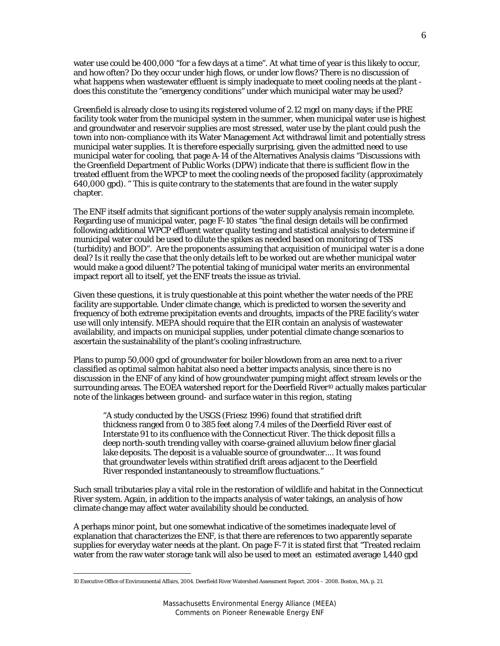water use could be 400,000 "for a few days at a time". At what time of year is this likely to occur, and how often? Do they occur under high flows, or under low flows? There is no discussion of what happens when wastewater effluent is simply inadequate to meet cooling needs at the plant does this constitute the "emergency conditions" under which municipal water may be used?

Greenfield is already close to using its registered volume of 2.12 mgd on many days; if the PRE facility took water from the municipal system in the summer, when municipal water use is highest and groundwater and reservoir supplies are most stressed, water use by the plant could push the town into non-compliance with its Water Management Act withdrawal limit and potentially stress municipal water supplies. It is therefore especially surprising, given the admitted need to use municipal water for cooling, that page A-14 of the Alternatives Analysis claims "Discussions with the Greenfield Department of Public Works (DPW) indicate that there is sufficient flow in the treated effluent from the WPCP to meet the cooling needs of the proposed facility (approximately 640,000 gpd). " This is quite contrary to the statements that are found in the water supply chapter.

The ENF itself admits that significant portions of the water supply analysis remain incomplete. Regarding use of municipal water, page F-10 states "the final design details will be confirmed following additional WPCP effluent water quality testing and statistical analysis to determine if municipal water could be used to dilute the spikes as needed based on monitoring of TSS (turbidity) and BOD". Are the proponents assuming that acquisition of municipal water is a done deal? Is it really the case that the only details left to be worked out are whether municipal water would make a good diluent? The potential taking of municipal water merits an environmental impact report all to itself, yet the ENF treats the issue as trivial.

Given these questions, it is truly questionable at this point whether the water needs of the PRE facility are supportable. Under climate change, which is predicted to worsen the severity and frequency of both extreme precipitation events and droughts, impacts of the PRE facility's water use will only intensify. MEPA should require that the EIR contain an analysis of wastewater availability, and impacts on municipal supplies, under potential climate change scenarios to ascertain the sustainability of the plant's cooling infrastructure.

Plans to pump 50,000 gpd of groundwater for boiler blowdown from an area next to a river classified as optimal salmon habitat also need a better impacts analysis, since there is no discussion in the ENF of any kind of how groundwater pumping might affect stream levels or the surrounding areas. The EOEA watershed report for the Deerfield River<sup>10</sup> actually makes particular note of the linkages between ground- and surface water in this region, stating

"A study conducted by the USGS (Friesz 1996) found that stratified drift thickness ranged from 0 to 385 feet along 7.4 miles of the Deerfield River east of Interstate 91 to its confluence with the Connecticut River. The thick deposit fills a deep north-south trending valley with coarse-grained alluvium below finer glacial lake deposits. The deposit is a valuable source of groundwater.... It was found that groundwater levels within stratified drift areas adjacent to the Deerfield River responded instantaneously to streamflow fluctuations."

Such small tributaries play a vital role in the restoration of wildlife and habitat in the Connecticut River system. Again, in addition to the impacts analysis of water takings, an analysis of how climate change may affect water availability should be conducted.

A perhaps minor point, but one somewhat indicative of the sometimes inadequate level of explanation that characterizes the ENF, is that there are references to two apparently separate supplies for everyday water needs at the plant. On page F-7 it is stated first that "Treated reclaim water from the raw water storage tank will also be used to meet an estimated average 1,440 gpd

<sup>10</sup> Executive Office of Environmental Affairs, 2004. Deerfield River Watershed Assessment Report. 2004 – 2008. Boston, MA. p. 21.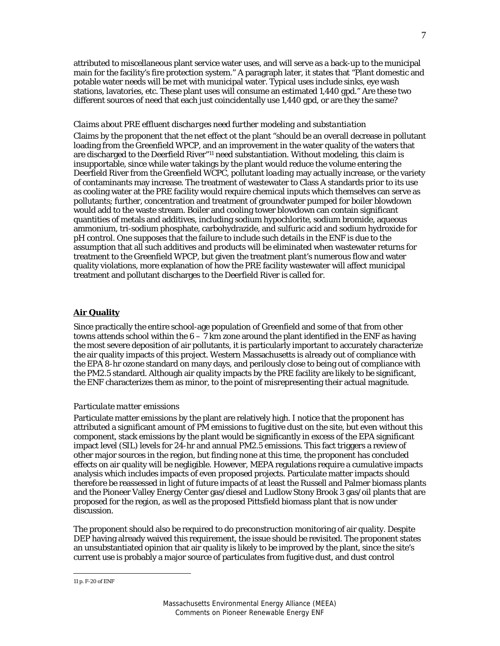attributed to miscellaneous plant service water uses, and will serve as a back-up to the municipal main for the facility's fire protection system." A paragraph later, it states that "Plant domestic and potable water needs will be met with municipal water. Typical uses include sinks, eye wash stations, lavatories, etc. These plant uses will consume an estimated 1,440 gpd." Are these two different sources of need that each just coincidentally use 1,440 gpd, or are they the same?

#### *Claims about PRE effluent discharges need further modeling and substantiation*

Claims by the proponent that the net effect ot the plant "should be an overall decrease in pollutant loading from the Greenfield WPCP, and an improvement in the water quality of the waters that are discharged to the Deerfield River<sup>"11</sup> need substantiation. Without modeling, this claim is insupportable, since while water takings by the plant would reduce the volume entering the Deerfield River from the Greenfield WCPC, pollutant *loading* may actually increase, or the variety of contaminants may increase. The treatment of wastewater to Class A standards prior to its use as cooling water at the PRE facility would require chemical inputs which themselves can serve as pollutants; further, concentration and treatment of groundwater pumped for boiler blowdown would add to the waste stream. Boiler and cooling tower blowdown can contain significant quantities of metals and additives, including sodium hypochlorite, sodium bromide, aqueous ammonium, tri-sodium phosphate, carbohydrazide, and sulfuric acid and sodium hydroxide for pH control. One supposes that the failure to include such details in the ENF is due to the assumption that all such additives and products will be eliminated when wastewater returns for treatment to the Greenfield WPCP, but given the treatment plant's numerous flow and water quality violations, more explanation of how the PRE facility wastewater will affect municipal treatment and pollutant discharges to the Deerfield River is called for.

# **Air Quality**

Since practically the entire school-age population of Greenfield and some of that from other towns attends school within the  $6 - 7$  km zone around the plant identified in the ENF as having the most severe deposition of air pollutants, it is particularly important to accurately characterize the air quality impacts of this project. Western Massachusetts is already out of compliance with the EPA 8-hr ozone standard on many days, and perilously close to being out of compliance with the PM2.5 standard. Although air quality impacts by the PRE facility are likely to be significant, the ENF characterizes them as minor, to the point of misrepresenting their actual magnitude.

## *Particulate matter emissions*

Particulate matter emissions by the plant are relatively high. I notice that the proponent has attributed a significant amount of PM emissions to fugitive dust on the site, but even without this component, stack emissions by the plant would be significantly in excess of the EPA significant impact level (SIL) levels for 24-hr and annual PM2.5 emissions. This fact triggers a review of other major sources in the region, but finding none at this time, the proponent has concluded effects on air quality will be negligible. However, MEPA regulations require a cumulative impacts analysis which includes impacts of even *proposed* projects. Particulate matter impacts should therefore be reassessed in light of future impacts of at least the Russell and Palmer biomass plants and the Pioneer Valley Energy Center gas/diesel and Ludlow Stony Brook 3 gas/oil plants that are proposed for the region, as well as the proposed Pittsfield biomass plant that is now under discussion.

The proponent should also be required to do preconstruction monitoring of air quality. Despite DEP having already waived this requirement, the issue should be revisited. The proponent states an unsubstantiated opinion that air quality is likely to be improved by the plant, since the site's current use is probably a major source of particulates from fugitive dust, and dust control

<sup>11</sup> p. F-20 of ENF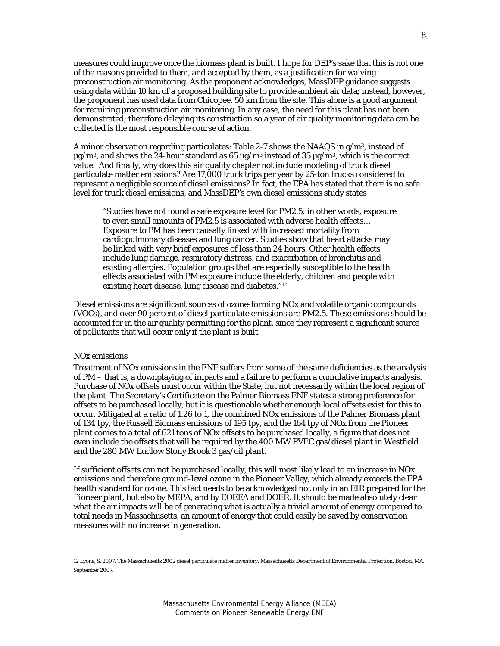measures could improve once the biomass plant is built. I hope for DEP's sake that this is not one of the reasons provided to them, and accepted by them, as a justification for waiving preconstruction air monitoring. As the proponent acknowledges, MassDEP guidance suggests using data within 10 km of a proposed building site to provide ambient air data; instead, however, the proponent has used data from Chicopee, 50 km from the site. This alone is a good argument for requiring preconstruction air monitoring. In any case, the need for this plant has not been demonstrated; therefore delaying its construction so a year of air quality monitoring data can be collected is the most responsible course of action.

A minor observation regarding particulates: Table 2-7 shows the NAAQS in  $g/m^3$ , instead of  $\mu$ g/m<sup>3</sup>, and shows the 24-hour standard as 65  $\mu$ g/m<sup>3</sup> instead of 35  $\mu$ g/m<sup>3</sup>, which is the correct value. And finally, why does this air quality chapter not include modeling of truck diesel particulate matter emissions? Are 17,000 truck trips per year by 25-ton trucks considered to represent a negligible source of diesel emissions? In fact, the EPA has stated that there is no safe level for truck diesel emissions, and MassDEP's own diesel emissions study states

"Studies have not found a safe exposure level for PM2.5; in other words, exposure to even small amounts of PM2.5 is associated with adverse health effects… Exposure to PM has been causally linked with increased mortality from cardiopulmonary diseases and lung cancer. Studies show that heart attacks may be linked with very brief exposures of less than 24 hours. Other health effects include lung damage, respiratory distress, and exacerbation of bronchitis and existing allergies. Population groups that are especially susceptible to the health effects associated with PM exposure include the elderly, children and people with existing heart disease, lung disease and diabetes."12

Diesel emissions are significant sources of ozone-forming NOx and volatile organic compounds (VOCs), and over 90 percent of diesel particulate emissions are PM2.5. These emissions should be accounted for in the air quality permitting for the plant, since they represent a significant source of pollutants that will occur only if the plant is built.

## *NOx emissions*

 $\overline{a}$ 

Treatment of NOx emissions in the ENF suffers from some of the same deficiencies as the analysis of PM – that is, a downplaying of impacts and a failure to perform a cumulative impacts analysis. Purchase of NOx offsets must occur within the State, but not necessarily within the local region of the plant. The Secretary's Certificate on the Palmer Biomass ENF states a strong preference for offsets to be purchased locally, but it is questionable whether enough local offsets exist for this to occur. Mitigated at a ratio of 1.26 to 1, the combined NOx emissions of the Palmer Biomass plant of 134 tpy, the Russell Biomass emissions of 195 tpy, and the 164 tpy of NOx from the Pioneer plant comes to a total of 621 tons of NOx offsets to be purchased locally, a figure that does not even include the offsets that will be required by the 400 MW PVEC gas/diesel plant in Westfield and the 280 MW Ludlow Stony Brook 3 gas/oil plant.

If sufficient offsets can not be purchased locally, this will most likely lead to an increase in NOx emissions and therefore ground-level ozone in the Pioneer Valley, which already exceeds the EPA health standard for ozone. This fact needs to be acknowledged not only in an EIR prepared for the Pioneer plant, but also by MEPA, and by EOEEA and DOER. It should be made absolutely clear what the air impacts will be of generating what is actually a trivial amount of energy compared to total needs in Massachusetts, an amount of energy that could easily be saved by conservation measures with no increase in generation.

<sup>12</sup> Lyons, S. 2007. The Massachusetts 2002 diesel particulate matter inventory. Massachusetts Department of Environmental Protection, Boston, MA. September 2007.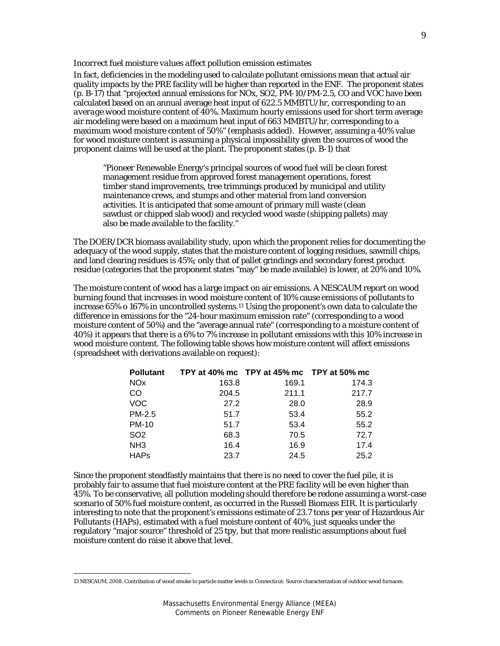## *Incorrect fuel moisture values affect pollution emission estimates*

In fact, deficiencies in the modeling used to calculate pollutant emissions mean that actual air quality impacts by the PRE facility will be higher than reported in the ENF. The proponent states (p. B-17) that "projected annual emissions for NOx, SO2, PM-10/PM-2.5, CO and VOC have been calculated based on an annual average heat input of 622.5 MMBTU/hr, *corresponding to an average wood moisture content of 40%.* Maximum hourly emissions used for short term average air modeling were based on a maximum heat input of 663 MMBTU/hr, corresponding to a maximum wood moisture content of 50%" (emphasis added). However, assuming a 40% value for wood moisture content is assuming a physical impossibility given the sources of wood the proponent claims will be used at the plant. The proponent states (p. B-1) that

"Pioneer Renewable Energy's principal sources of wood fuel will be clean forest management residue from approved forest management operations, forest timber stand improvements, tree trimmings produced by municipal and utility maintenance crews, and stumps and other material from land conversion activities. It is anticipated that some amount of primary mill waste (clean sawdust or chipped slab wood) and recycled wood waste (shipping pallets) may also be made available to the facility."

The DOER/DCR biomass availability study, upon which the proponent relies for documenting the adequacy of the wood supply, states that the moisture content of logging residues, sawmill chips, and land clearing residues is 45%; only that of pallet grindings and secondary forest product residue (categories that the proponent states "may" be made available) is lower, at 20% and 10%.

The moisture content of wood has a large impact on air emissions. A NESCAUM report on wood burning found that increases in wood moisture content of 10% cause emissions of pollutants to increase 65% o 167% in uncontrolled systems.13 Using the proponent's own data to calculate the difference in emissions for the "24-hour maximum emission rate" (corresponding to a wood moisture content of 50%) and the "average annual rate" (corresponding to a moisture content of 40%) it appears that there is a 6% to 7% increase in pollutant emissions with this 10% increase in wood moisture content. The following table shows how moisture content will affect emissions (spreadsheet with derivations available on request):

| <b>Pollutant</b>      |       | TPY at 40% mc TPY at 45% mc TPY at 50% mc |       |
|-----------------------|-------|-------------------------------------------|-------|
| <b>NO<sub>x</sub></b> | 163.8 | 169.1                                     | 174.3 |
| CO.                   | 204.5 | 211.1                                     | 217.7 |
| <b>VOC</b>            | 27.2  | 28.0                                      | 28.9  |
| PM-2.5                | 51.7  | 53.4                                      | 55.2  |
| <b>PM-10</b>          | 51.7  | 53.4                                      | 55.2  |
| SO <sub>2</sub>       | 68.3  | 70.5                                      | 72.7  |
| NH <sub>3</sub>       | 16.4  | 16.9                                      | 17.4  |
| <b>HAPs</b>           | 23.7  | 24.5                                      | 25.2  |

Since the proponent steadfastly maintains that there is no need to cover the fuel pile, it is probably fair to assume that fuel moisture content at the PRE facility will be even higher than 45%. To be conservative, all pollution modeling should therefore be redone assuming a worst-case scenario of 50% fuel moisture content, as occurred in the Russell Biomass EIR. It is particularly interesting to note that the proponent's emissions estimate of 23.7 tons per year of Hazardous Air Pollutants (HAPs), estimated with a fuel moisture content of 40%, just squeaks under the regulatory "major source" threshold of 25 tpy, but that more realistic assumptions about fuel moisture content do raise it above that level.

<sup>13</sup> NESCAUM, 2008. Contribution of wood smoke to particle matter levels in Connecticut: Source characterization of outdoor wood furnaces.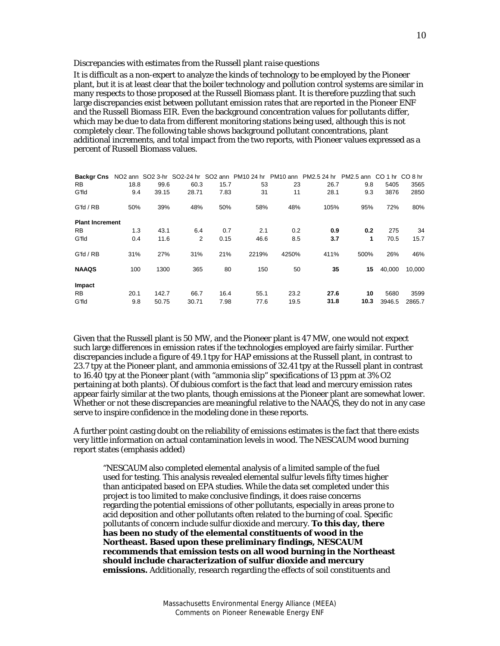# *Discrepancies with estimates from the Russell plant raise questions*

It is difficult as a non-expert to analyze the kinds of technology to be employed by the Pioneer plant, but it is at least clear that the boiler technology and pollution control systems are similar in many respects to those proposed at the Russell Biomass plant. It is therefore puzzling that such large discrepancies exist between pollutant emission rates that are reported in the Pioneer ENF and the Russell Biomass EIR. Even the background concentration values for pollutants differ, which may be due to data from different monitoring stations being used, although this is not completely clear. The following table shows background pollutant concentrations, plant additional increments, and total impact from the two reports, with Pioneer values expressed as a percent of Russell Biomass values.

| Backgr Cns NO <sub>2</sub> ann SO <sub>2</sub> 3-hr SO <sub>2</sub> -24 hr SO <sub>2</sub> ann PM <sub>10</sub> 24 hr |      |       |       |      |       | PM10 ann | PM2.5 24 hr | PM2.5 ann CO 1 hr CO 8 hr |        |        |
|-----------------------------------------------------------------------------------------------------------------------|------|-------|-------|------|-------|----------|-------------|---------------------------|--------|--------|
| <b>RB</b>                                                                                                             | 18.8 | 99.6  | 60.3  | 15.7 | 53    | 23       | 26.7        | 9.8                       | 5405   | 3565   |
| G'fld                                                                                                                 | 9.4  | 39.15 | 28.71 | 7.83 | 31    | 11       | 28.1        | 9.3                       | 3876   | 2850   |
| G'fd / RB                                                                                                             | 50%  | 39%   | 48%   | 50%  | 58%   | 48%      | 105%        | 95%                       | 72%    | 80%    |
| <b>Plant Increment</b>                                                                                                |      |       |       |      |       |          |             |                           |        |        |
| <b>RB</b>                                                                                                             | 1.3  | 43.1  | 6.4   | 0.7  | 2.1   | 0.2      | 0.9         | 0.2                       | 275    | 34     |
| G'fld                                                                                                                 | 0.4  | 11.6  | 2     | 0.15 | 46.6  | 8.5      | 3.7         | 1                         | 70.5   | 15.7   |
| G'd / RB                                                                                                              | 31%  | 27%   | 31%   | 21%  | 2219% | 4250%    | 411%        | 500%                      | 26%    | 46%    |
| <b>NAAQS</b>                                                                                                          | 100  | 1300  | 365   | 80   | 150   | 50       | 35          | 15                        | 40,000 | 10,000 |
| Impact                                                                                                                |      |       |       |      |       |          |             |                           |        |        |
| <b>RB</b>                                                                                                             | 20.1 | 142.7 | 66.7  | 16.4 | 55.1  | 23.2     | 27.6        | 10                        | 5680   | 3599   |
| G'fld                                                                                                                 | 9.8  | 50.75 | 30.71 | 7.98 | 77.6  | 19.5     | 31.8        | 10.3                      | 3946.5 | 2865.7 |

Given that the Russell plant is 50 MW, and the Pioneer plant is 47 MW, one would not expect such large differences in emission rates if the technologies employed are fairly similar. Further discrepancies include a figure of 49.1 tpy for HAP emissions at the Russell plant, in contrast to 23.7 tpy at the Pioneer plant, and ammonia emissions of 32.41 tpy at the Russell plant in contrast to 16.40 tpy at the Pioneer plant (with "ammonia slip" specifications of 13 ppm at 3% O2 pertaining at both plants). Of dubious comfort is the fact that lead and mercury emission rates appear fairly similar at the two plants, though emissions at the Pioneer plant are somewhat lower. Whether or not these discrepancies are meaningful relative to the NAAQS, they do not in any case serve to inspire confidence in the modeling done in these reports.

A further point casting doubt on the reliability of emissions estimates is the fact that there exists very little information on actual contamination levels in wood. The NESCAUM wood burning report states (emphasis added)

"NESCAUM also completed elemental analysis of a limited sample of the fuel used for testing. This analysis revealed elemental sulfur levels fifty times higher than anticipated based on EPA studies. While the data set completed under this project is too limited to make conclusive findings, it does raise concerns regarding the potential emissions of other pollutants, especially in areas prone to acid deposition and other pollutants often related to the burning of coal. Specific pollutants of concern include sulfur dioxide and mercury. **To this day, there has been no study of the elemental constituents of wood in the Northeast. Based upon these preliminary findings, NESCAUM recommends that emission tests on all wood burning in the Northeast should include characterization of sulfur dioxide and mercury emissions.** Additionally, research regarding the effects of soil constituents and